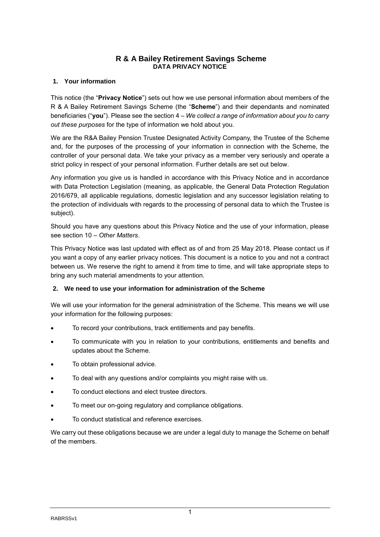# **R & A Bailey Retirement Savings Scheme DATA PRIVACY NOTICE**

## **1. Your information**

This notice (the "**Privacy Notice**") sets out how we use personal information about members of the R & A Bailey Retirement Savings Scheme (the "**Scheme**") and their dependants and nominated beneficiaries ("**you**"). Please see the section 4 – *We collect a range of information about you to carry out these purposes* for the type of information we hold about you.

We are the R&A Bailey Pension Trustee Designated Activity Company, the Trustee of the Scheme and, for the purposes of the processing of your information in connection with the Scheme, the controller of your personal data. We take your privacy as a member very seriously and operate a strict policy in respect of your personal information. Further details are set out below.

Any information you give us is handled in accordance with this Privacy Notice and in accordance with Data Protection Legislation (meaning, as applicable, the General Data Protection Regulation 2016/679, all applicable regulations, domestic legislation and any successor legislation relating to the protection of individuals with regards to the processing of personal data to which the Trustee is subject).

Should you have any questions about this Privacy Notice and the use of your information, please see section 10 *– Other Matters*.

This Privacy Notice was last updated with effect as of and from 25 May 2018. Please contact us if you want a copy of any earlier privacy notices. This document is a notice to you and not a contract between us. We reserve the right to amend it from time to time, and will take appropriate steps to bring any such material amendments to your attention.

## **2. We need to use your information for administration of the Scheme**

We will use your information for the general administration of the Scheme. This means we will use your information for the following purposes:

- To record your contributions, track entitlements and pay benefits.
- To communicate with you in relation to your contributions, entitlements and benefits and updates about the Scheme.
- To obtain professional advice.
- To deal with any questions and/or complaints you might raise with us.
- To conduct elections and elect trustee directors.
- To meet our on-going regulatory and compliance obligations.
- To conduct statistical and reference exercises.

We carry out these obligations because we are under a legal duty to manage the Scheme on behalf of the members.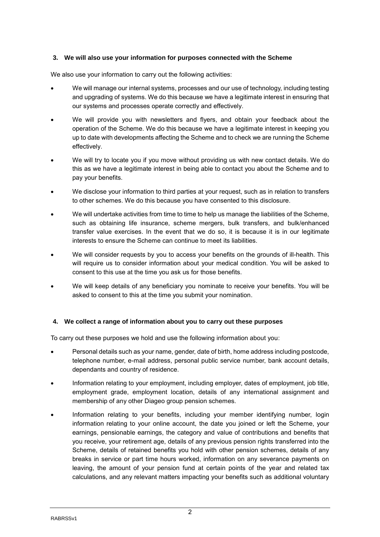## **3. We will also use your information for purposes connected with the Scheme**

We also use your information to carry out the following activities:

- We will manage our internal systems, processes and our use of technology, including testing and upgrading of systems. We do this because we have a legitimate interest in ensuring that our systems and processes operate correctly and effectively.
- We will provide you with newsletters and flyers, and obtain your feedback about the operation of the Scheme. We do this because we have a legitimate interest in keeping you up to date with developments affecting the Scheme and to check we are running the Scheme effectively.
- We will try to locate you if you move without providing us with new contact details. We do this as we have a legitimate interest in being able to contact you about the Scheme and to pay your benefits.
- We disclose your information to third parties at your request, such as in relation to transfers to other schemes. We do this because you have consented to this disclosure.
- We will undertake activities from time to time to help us manage the liabilities of the Scheme, such as obtaining life insurance, scheme mergers, bulk transfers, and bulk/enhanced transfer value exercises. In the event that we do so, it is because it is in our legitimate interests to ensure the Scheme can continue to meet its liabilities.
- We will consider requests by you to access your benefits on the grounds of ill-health. This will require us to consider information about your medical condition. You will be asked to consent to this use at the time you ask us for those benefits.
- We will keep details of any beneficiary you nominate to receive your benefits. You will be asked to consent to this at the time you submit your nomination.

## **4. We collect a range of information about you to carry out these purposes**

To carry out these purposes we hold and use the following information about you:

- Personal details such as your name, gender, date of birth, home address including postcode, telephone number, e-mail address, personal public service number, bank account details, dependants and country of residence.
- Information relating to your employment, including employer, dates of employment, job title, employment grade, employment location, details of any international assignment and membership of any other Diageo group pension schemes.
- Information relating to your benefits, including your member identifying number, login information relating to your online account, the date you joined or left the Scheme, your earnings, pensionable earnings, the category and value of contributions and benefits that you receive, your retirement age, details of any previous pension rights transferred into the Scheme, details of retained benefits you hold with other pension schemes, details of any breaks in service or part time hours worked, information on any severance payments on leaving, the amount of your pension fund at certain points of the year and related tax calculations, and any relevant matters impacting your benefits such as additional voluntary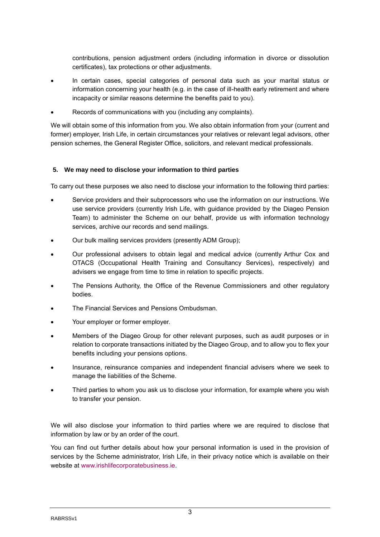contributions, pension adjustment orders (including information in divorce or dissolution certificates), tax protections or other adjustments.

- In certain cases, special categories of personal data such as your marital status or information concerning your health (e.g. in the case of ill-health early retirement and where incapacity or similar reasons determine the benefits paid to you).
- Records of communications with you (including any complaints).

We will obtain some of this information from you. We also obtain information from your (current and former) employer, Irish Life, in certain circumstances your relatives or relevant legal advisors, other pension schemes, the General Register Office, solicitors, and relevant medical professionals.

#### **5. We may need to disclose your information to third parties**

To carry out these purposes we also need to disclose your information to the following third parties:

- Service providers and their subprocessors who use the information on our instructions. We use service providers (currently Irish Life, with guidance provided by the Diageo Pension Team) to administer the Scheme on our behalf, provide us with information technology services, archive our records and send mailings.
- Our bulk mailing services providers (presently ADM Group);
- Our professional advisers to obtain legal and medical advice (currently Arthur Cox and OTACS (Occupational Health Training and Consultancy Services), respectively) and advisers we engage from time to time in relation to specific projects.
- The Pensions Authority, the Office of the Revenue Commissioners and other regulatory bodies.
- The Financial Services and Pensions Ombudsman.
- Your employer or former employer.
- Members of the Diageo Group for other relevant purposes, such as audit purposes or in relation to corporate transactions initiated by the Diageo Group, and to allow you to flex your benefits including your pensions options.
- Insurance, reinsurance companies and independent financial advisers where we seek to manage the liabilities of the Scheme.
- Third parties to whom you ask us to disclose your information, for example where you wish to transfer your pension.

We will also disclose your information to third parties where we are required to disclose that information by law or by an order of the court.

You can find out further details about how your personal information is used in the provision of services by the Scheme administrator, Irish Life, in their privacy notice which is available on their website at [www.irishlifecorporatebusiness.ie.](http://www.irishlifecorporatebusiness.ie/)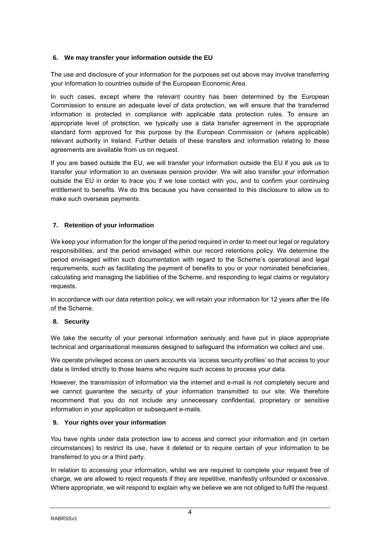## **6. We may transfer your information outside the EU**

The use and disclosure of your information for the purposes set out above may involve transferring your information to countries outside of the European Economic Area.

In such cases, except where the relevant country has been determined by the European Commission to ensure an adequate level of data protection, we will ensure that the transferred information is protected in compliance with applicable data protection rules. To ensure an appropriate level of protection, we typically use a data transfer agreement in the appropriate standard form approved for this purpose by the European Commission or (where applicable) relevant authority in Ireland. Further details of these transfers and information relating to these agreements are available from us on request.

If you are based outside the EU, we will transfer your information outside the EU if you ask us to transfer your information to an overseas pension provider. We will also transfer your information outside the EU in order to trace you if we lose contact with you, and to confirm your continuing entitlement to benefits. We do this because you have consented to this disclosure to allow us to make such overseas payments.

## **7. Retention of your information**

We keep your information for the longer of the period required in order to meet our legal or regulatory responsibilities, and the period envisaged within our record retentions policy. We determine the period envisaged within such documentation with regard to the Scheme's operational and legal requirements, such as facilitating the payment of benefits to you or your nominated beneficiaries, calculating and managing the liabilities of the Scheme, and responding to legal claims or regulatory requests.

In accordance with our data retention policy, we will retain your information for 12 years after the life of the Scheme.

## **8. Security**

We take the security of your personal information seriously and have put in place appropriate technical and organisational measures designed to safeguard the information we collect and use.

We operate privileged access on users accounts via 'access security profiles' so that access to your data is limited strictly to those teams who require such access to process your data.

However, the transmission of information via the internet and e-mail is not completely secure and we cannot guarantee the security of your information transmitted to our site. We therefore recommend that you do not include any unnecessary confidential, proprietary or sensitive information in your application or subsequent e-mails.

## **9. Your rights over your information**

You have rights under data protection law to access and correct your information and (in certain circumstances) to restrict its use, have it deleted or to require certain of your information to be transferred to you or a third party.

In relation to accessing your information, whilst we are required to complete your request free of charge, we are allowed to reject requests if they are repetitive, manifestly unfounded or excessive. Where appropriate, we will respond to explain why we believe we are not obliged to fulfil the request.